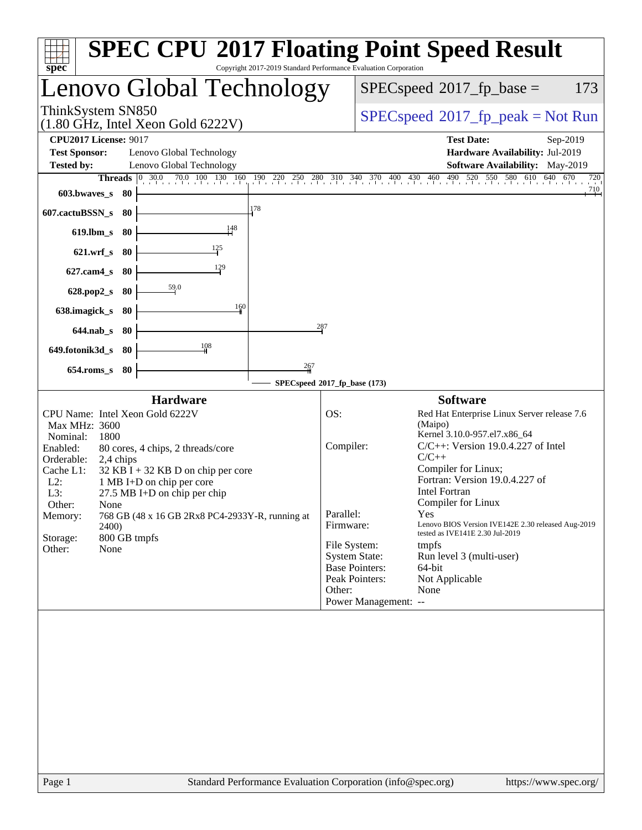| $spec^*$                                                                                                                                                                                                                                                                                                                                                                                                                                        | <b>SPEC CPU®2017 Floating Point Speed Result</b><br>Copyright 2017-2019 Standard Performance Evaluation Corporation                                                                                                                                                                                                                                                                                                                                                                                                                                                                                              |
|-------------------------------------------------------------------------------------------------------------------------------------------------------------------------------------------------------------------------------------------------------------------------------------------------------------------------------------------------------------------------------------------------------------------------------------------------|------------------------------------------------------------------------------------------------------------------------------------------------------------------------------------------------------------------------------------------------------------------------------------------------------------------------------------------------------------------------------------------------------------------------------------------------------------------------------------------------------------------------------------------------------------------------------------------------------------------|
| Lenovo Global Technology                                                                                                                                                                                                                                                                                                                                                                                                                        | $SPEC speed^{\circ}2017$ _fp_base =<br>173                                                                                                                                                                                                                                                                                                                                                                                                                                                                                                                                                                       |
| ThinkSystem SN850<br>$(1.80 \text{ GHz}, \text{Intel Xeon Gold } 6222 \text{V})$                                                                                                                                                                                                                                                                                                                                                                | $SPEC speed^{\circ}2017\_fp\_peak = Not Run$                                                                                                                                                                                                                                                                                                                                                                                                                                                                                                                                                                     |
| <b>CPU2017 License: 9017</b><br><b>Test Sponsor:</b><br>Lenovo Global Technology<br>Lenovo Global Technology<br><b>Tested by:</b>                                                                                                                                                                                                                                                                                                               | <b>Test Date:</b><br>Sep-2019<br>Hardware Availability: Jul-2019<br>Software Availability: May-2019                                                                                                                                                                                                                                                                                                                                                                                                                                                                                                              |
| 0, 30.0 <br>Threads<br>603.bwaves_s<br>- 80<br>178<br>607.cactuBSSN_s<br>-80<br>148                                                                                                                                                                                                                                                                                                                                                             | $70.0$ 100 130 160 190 220 250 280 310 340 370 400 430 460 490 520 5<br>550 580 610 640<br>640 670<br>720<br>710                                                                                                                                                                                                                                                                                                                                                                                                                                                                                                 |
| $619$ .lbm_s<br>-80<br>$\frac{125}{2}$<br>$621.wrf$ <sub>S</sub><br>-80<br>129<br>$627$ .cam $4$ <sub>S</sub><br>80                                                                                                                                                                                                                                                                                                                             |                                                                                                                                                                                                                                                                                                                                                                                                                                                                                                                                                                                                                  |
| 59.0<br>628.pop2_s<br>-80<br>160<br>638.imagick_s<br>-80<br>$644$ .nab s<br>-80                                                                                                                                                                                                                                                                                                                                                                 | 287                                                                                                                                                                                                                                                                                                                                                                                                                                                                                                                                                                                                              |
| $\frac{108}{1}$<br>649.fotonik3d_s<br>-80<br>267<br>$654$ .roms_s<br>80                                                                                                                                                                                                                                                                                                                                                                         | SPECspeed®2017_fp_base (173)                                                                                                                                                                                                                                                                                                                                                                                                                                                                                                                                                                                     |
| <b>Hardware</b><br>CPU Name: Intel Xeon Gold 6222V<br>Max MHz: 3600<br>Nominal:<br>1800<br>Enabled:<br>80 cores, 4 chips, 2 threads/core<br>Orderable:<br>2,4 chips<br>Cache L1:<br>$32$ KB I + 32 KB D on chip per core<br>$L2$ :<br>1 MB I+D on chip per core<br>L3:<br>$27.5$ MB I+D on chip per chip<br>Other:<br>None<br>768 GB (48 x 16 GB 2Rx8 PC4-2933Y-R, running at<br>Memory:<br>2400)<br>Storage:<br>800 GB tmpfs<br>Other:<br>None | <b>Software</b><br>OS:<br>Red Hat Enterprise Linux Server release 7.6<br>(Maipo)<br>Kernel 3.10.0-957.el7.x86_64<br>$C/C++$ : Version 19.0.4.227 of Intel<br>Compiler:<br>$C/C++$<br>Compiler for Linux;<br>Fortran: Version 19.0.4.227 of<br><b>Intel Fortran</b><br>Compiler for Linux<br>Parallel:<br>Yes<br>Firmware:<br>Lenovo BIOS Version IVE142E 2.30 released Aug-2019<br>tested as IVE141E 2.30 Jul-2019<br>File System:<br>tmpfs<br><b>System State:</b><br>Run level 3 (multi-user)<br><b>Base Pointers:</b><br>64-bit<br>Peak Pointers:<br>Not Applicable<br>Other:<br>None<br>Power Management: -- |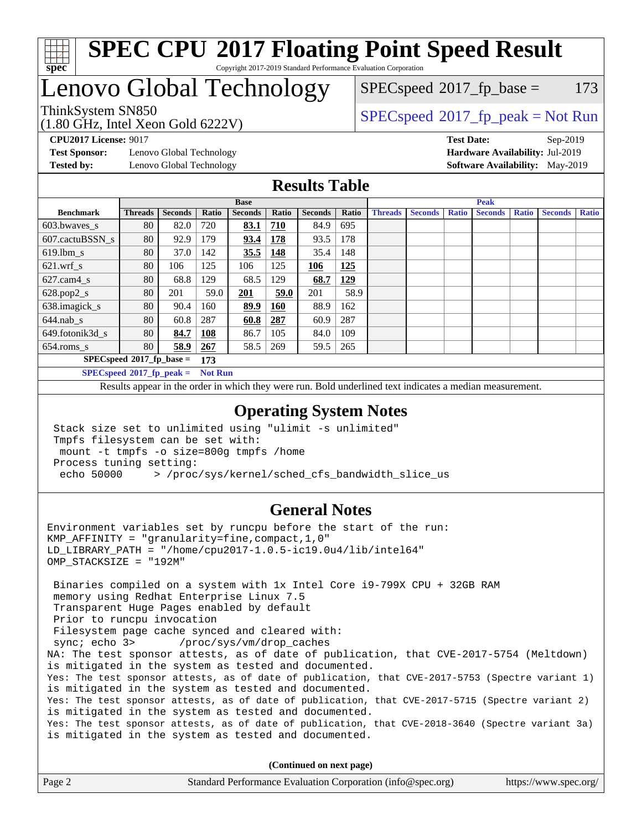

## Lenovo Global Technology

 $SPECspeed^{\circledcirc}2017_fp\_base = 173$  $SPECspeed^{\circledcirc}2017_fp\_base = 173$ 

## ThinkSystem SN850<br>  $SPEC speed^{\circ}2017$  [p\_peak = Not Run

**[Test Sponsor:](http://www.spec.org/auto/cpu2017/Docs/result-fields.html#TestSponsor)** Lenovo Global Technology **[Hardware Availability:](http://www.spec.org/auto/cpu2017/Docs/result-fields.html#HardwareAvailability)** Jul-2019 **[Tested by:](http://www.spec.org/auto/cpu2017/Docs/result-fields.html#Testedby)** Lenovo Global Technology **[Software Availability:](http://www.spec.org/auto/cpu2017/Docs/result-fields.html#SoftwareAvailability)** May-2019

(1.80 GHz, Intel Xeon Gold 6222V)

**[CPU2017 License:](http://www.spec.org/auto/cpu2017/Docs/result-fields.html#CPU2017License)** 9017 **[Test Date:](http://www.spec.org/auto/cpu2017/Docs/result-fields.html#TestDate)** Sep-2019

### **[Results Table](http://www.spec.org/auto/cpu2017/Docs/result-fields.html#ResultsTable)**

|                  | <b>Base</b>                       |                |                |                | <b>Peak</b> |                |            |                |                |              |                |              |                |              |
|------------------|-----------------------------------|----------------|----------------|----------------|-------------|----------------|------------|----------------|----------------|--------------|----------------|--------------|----------------|--------------|
| <b>Benchmark</b> | <b>Threads</b>                    | <b>Seconds</b> | Ratio          | <b>Seconds</b> | Ratio       | <b>Seconds</b> | Ratio      | <b>Threads</b> | <b>Seconds</b> | <b>Ratio</b> | <b>Seconds</b> | <b>Ratio</b> | <b>Seconds</b> | <b>Ratio</b> |
| $603.bwaves$ s   | 80                                | 82.0           | 720            | 83.1           | 710         | 84.9           | 695        |                |                |              |                |              |                |              |
| 607.cactuBSSN s  | 80                                | 92.9           | 179            | 93.4           | 178         | 93.5           | 178        |                |                |              |                |              |                |              |
| $619.$ lbm_s     | 80                                | 37.0           | 142            | 35.5           | 148         | 35.4           | 148        |                |                |              |                |              |                |              |
| $621.wrf$ s      | 80                                | 106            | 125            | 106            | 125         | 106            | 125        |                |                |              |                |              |                |              |
| $627$ .cam4 s    | 80                                | 68.8           | 129            | 68.5           | 129         | 68.7           | <u>129</u> |                |                |              |                |              |                |              |
| $628.pop2_s$     | 80                                | 201            | 59.0           | 201            | 59.0        | 201            | 58.9       |                |                |              |                |              |                |              |
| 638.imagick_s    | 80                                | 90.4           | 160            | 89.9           | <b>160</b>  | 88.9           | 162        |                |                |              |                |              |                |              |
| $644$ .nab s     | 80                                | 60.8           | 287            | 60.8           | 287         | 60.9           | 287        |                |                |              |                |              |                |              |
| 649.fotonik3d s  | 80                                | 84.7           | <b>108</b>     | 86.7           | 105         | 84.0           | 109        |                |                |              |                |              |                |              |
| $654$ .roms s    | 80                                | 58.9           | 267            | 58.5           | 269         | 59.5           | 265        |                |                |              |                |              |                |              |
|                  | $SPECspeed*2017_fp\_base =$       |                | 173            |                |             |                |            |                |                |              |                |              |                |              |
|                  | $SPECspeed^{\circ}2017$ fp peak = |                | <b>Not Run</b> |                |             |                |            |                |                |              |                |              |                |              |

Results appear in the [order in which they were run.](http://www.spec.org/auto/cpu2017/Docs/result-fields.html#RunOrder) Bold underlined text [indicates a median measurement](http://www.spec.org/auto/cpu2017/Docs/result-fields.html#Median).

#### **[Operating System Notes](http://www.spec.org/auto/cpu2017/Docs/result-fields.html#OperatingSystemNotes)**

 Stack size set to unlimited using "ulimit -s unlimited" Tmpfs filesystem can be set with: mount -t tmpfs -o size=800g tmpfs /home Process tuning setting: echo 50000 > /proc/sys/kernel/sched\_cfs\_bandwidth\_slice\_us

#### **[General Notes](http://www.spec.org/auto/cpu2017/Docs/result-fields.html#GeneralNotes)**

Environment variables set by runcpu before the start of the run: KMP AFFINITY = "granularity=fine, compact,  $1,0$ " LD\_LIBRARY\_PATH = "/home/cpu2017-1.0.5-ic19.0u4/lib/intel64" OMP\_STACKSIZE = "192M"

 Binaries compiled on a system with 1x Intel Core i9-799X CPU + 32GB RAM memory using Redhat Enterprise Linux 7.5 Transparent Huge Pages enabled by default Prior to runcpu invocation Filesystem page cache synced and cleared with: sync; echo 3> /proc/sys/vm/drop\_caches NA: The test sponsor attests, as of date of publication, that CVE-2017-5754 (Meltdown) is mitigated in the system as tested and documented. Yes: The test sponsor attests, as of date of publication, that CVE-2017-5753 (Spectre variant 1) is mitigated in the system as tested and documented. Yes: The test sponsor attests, as of date of publication, that CVE-2017-5715 (Spectre variant 2) is mitigated in the system as tested and documented. Yes: The test sponsor attests, as of date of publication, that CVE-2018-3640 (Spectre variant 3a) is mitigated in the system as tested and documented.

**(Continued on next page)**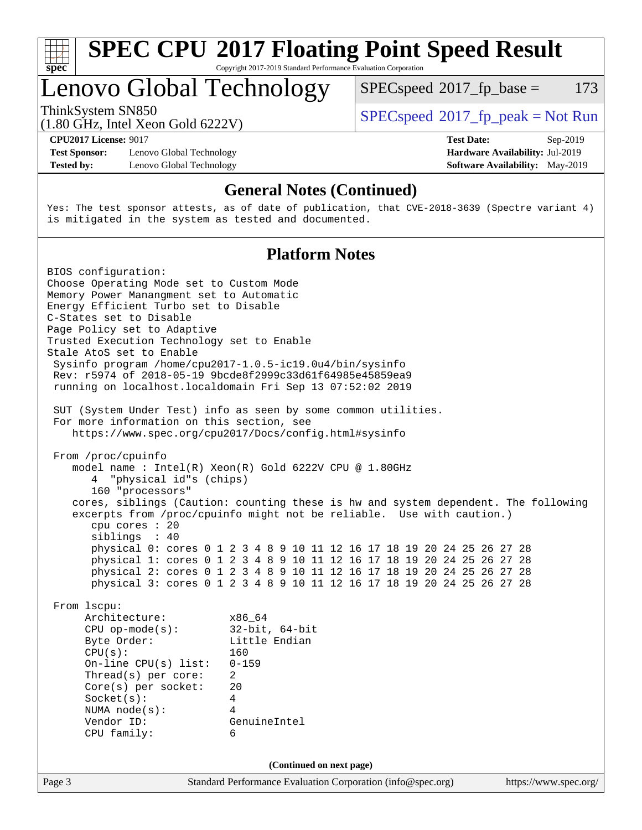

Lenovo Global Technology

 $SPECspeed^{\circ}2017\_fp\_base = 173$  $SPECspeed^{\circ}2017\_fp\_base = 173$ 

(1.80 GHz, Intel Xeon Gold 6222V)

ThinkSystem SN850<br>  $SPEC speed^{\circ}2017$  [p\_peak = Not Run

**[Test Sponsor:](http://www.spec.org/auto/cpu2017/Docs/result-fields.html#TestSponsor)** Lenovo Global Technology **[Hardware Availability:](http://www.spec.org/auto/cpu2017/Docs/result-fields.html#HardwareAvailability)** Jul-2019 **[Tested by:](http://www.spec.org/auto/cpu2017/Docs/result-fields.html#Testedby)** Lenovo Global Technology **[Software Availability:](http://www.spec.org/auto/cpu2017/Docs/result-fields.html#SoftwareAvailability)** May-2019

**[CPU2017 License:](http://www.spec.org/auto/cpu2017/Docs/result-fields.html#CPU2017License)** 9017 **[Test Date:](http://www.spec.org/auto/cpu2017/Docs/result-fields.html#TestDate)** Sep-2019

### **[General Notes \(Continued\)](http://www.spec.org/auto/cpu2017/Docs/result-fields.html#GeneralNotes)**

Yes: The test sponsor attests, as of date of publication, that CVE-2018-3639 (Spectre variant 4) is mitigated in the system as tested and documented.

### **[Platform Notes](http://www.spec.org/auto/cpu2017/Docs/result-fields.html#PlatformNotes)**

Page 3 Standard Performance Evaluation Corporation [\(info@spec.org\)](mailto:info@spec.org) <https://www.spec.org/> BIOS configuration: Choose Operating Mode set to Custom Mode Memory Power Manangment set to Automatic Energy Efficient Turbo set to Disable C-States set to Disable Page Policy set to Adaptive Trusted Execution Technology set to Enable Stale AtoS set to Enable Sysinfo program /home/cpu2017-1.0.5-ic19.0u4/bin/sysinfo Rev: r5974 of 2018-05-19 9bcde8f2999c33d61f64985e45859ea9 running on localhost.localdomain Fri Sep 13 07:52:02 2019 SUT (System Under Test) info as seen by some common utilities. For more information on this section, see <https://www.spec.org/cpu2017/Docs/config.html#sysinfo> From /proc/cpuinfo model name : Intel(R) Xeon(R) Gold 6222V CPU @ 1.80GHz 4 "physical id"s (chips) 160 "processors" cores, siblings (Caution: counting these is hw and system dependent. The following excerpts from /proc/cpuinfo might not be reliable. Use with caution.) cpu cores : 20 siblings : 40 physical 0: cores 0 1 2 3 4 8 9 10 11 12 16 17 18 19 20 24 25 26 27 28 physical 1: cores 0 1 2 3 4 8 9 10 11 12 16 17 18 19 20 24 25 26 27 28 physical 2: cores 0 1 2 3 4 8 9 10 11 12 16 17 18 19 20 24 25 26 27 28 physical 3: cores 0 1 2 3 4 8 9 10 11 12 16 17 18 19 20 24 25 26 27 28 From lscpu: Architecture: x86\_64 CPU op-mode(s): 32-bit, 64-bit Byte Order: Little Endian CPU(s): 160 On-line CPU(s) list: 0-159 Thread(s) per core: 2 Core(s) per socket: 20 Socket(s): 4 NUMA node(s): 4 Vendor ID: GenuineIntel CPU family: 6 **(Continued on next page)**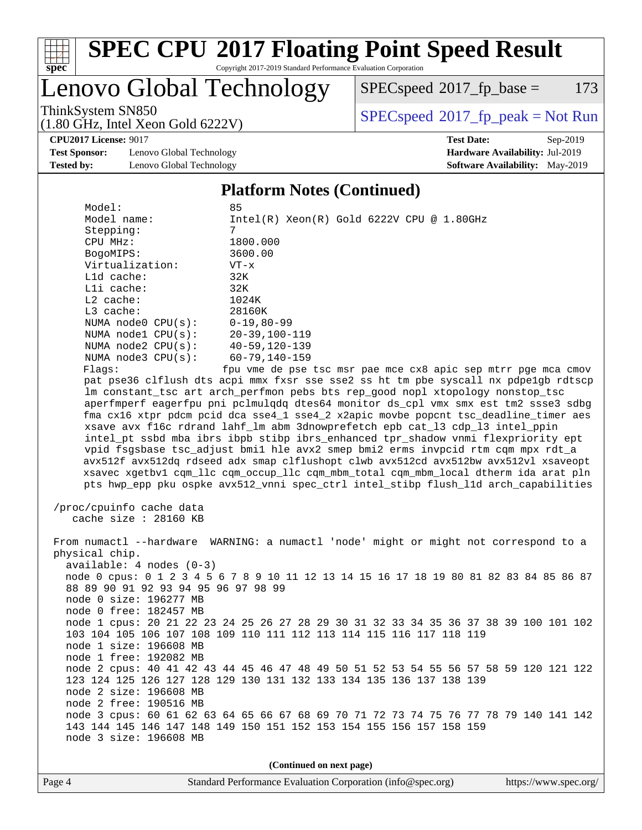

# **[SPEC CPU](http://www.spec.org/auto/cpu2017/Docs/result-fields.html#SPECCPU2017FloatingPointSpeedResult)[2017 Floating Point Speed Result](http://www.spec.org/auto/cpu2017/Docs/result-fields.html#SPECCPU2017FloatingPointSpeedResult)**

Copyright 2017-2019 Standard Performance Evaluation Corporation

Lenovo Global Technology

 $SPECspeed^{\circ}2017_fp\_base = 173$  $SPECspeed^{\circ}2017_fp\_base = 173$ 

(1.80 GHz, Intel Xeon Gold 6222V)

ThinkSystem SN850<br>(1.80 GHz, Intel Year Gold 6222V) [SPECspeed](http://www.spec.org/auto/cpu2017/Docs/result-fields.html#SPECspeed2017fppeak)®[2017\\_fp\\_peak = N](http://www.spec.org/auto/cpu2017/Docs/result-fields.html#SPECspeed2017fppeak)ot Run

**[CPU2017 License:](http://www.spec.org/auto/cpu2017/Docs/result-fields.html#CPU2017License)** 9017 **[Test Date:](http://www.spec.org/auto/cpu2017/Docs/result-fields.html#TestDate)** Sep-2019

**[Test Sponsor:](http://www.spec.org/auto/cpu2017/Docs/result-fields.html#TestSponsor)** Lenovo Global Technology **[Hardware Availability:](http://www.spec.org/auto/cpu2017/Docs/result-fields.html#HardwareAvailability)** Jul-2019 **[Tested by:](http://www.spec.org/auto/cpu2017/Docs/result-fields.html#Testedby)** Lenovo Global Technology **[Software Availability:](http://www.spec.org/auto/cpu2017/Docs/result-fields.html#SoftwareAvailability)** May-2019

**[Platform Notes \(Continued\)](http://www.spec.org/auto/cpu2017/Docs/result-fields.html#PlatformNotes)**

| Model:                   | 85                                                                                     |                                                |                                                               |
|--------------------------|----------------------------------------------------------------------------------------|------------------------------------------------|---------------------------------------------------------------|
| Model name:              |                                                                                        | $Intel(R)$ Xeon $(R)$ Gold 6222V CPU @ 1.80GHz |                                                               |
| Stepping:                | 7                                                                                      |                                                |                                                               |
| CPU MHz:                 | 1800.000                                                                               |                                                |                                                               |
| BogoMIPS:                | 3600.00                                                                                |                                                |                                                               |
| Virtualization:          | $VT - x$                                                                               |                                                |                                                               |
| Lld cache:               | 32K                                                                                    |                                                |                                                               |
| Lli cache:               | 32K                                                                                    |                                                |                                                               |
| $L2$ cache:              | 1024K                                                                                  |                                                |                                                               |
| $L3$ cache:              | 28160K                                                                                 |                                                |                                                               |
| NUMA node0 CPU(s):       | $0 - 19, 80 - 99$                                                                      |                                                |                                                               |
| NUMA nodel CPU(s):       | 20-39,100-119                                                                          |                                                |                                                               |
| NUMA $node2$ $CPU(s)$ :  | 40-59,120-139                                                                          |                                                |                                                               |
| NUMA $node3$ $CPU(s):$   | $60 - 79, 140 - 159$                                                                   |                                                |                                                               |
| Flaqs:                   |                                                                                        |                                                | fpu vme de pse tsc msr pae mce cx8 apic sep mtrr pge mca cmov |
|                          | pat pse36 clflush dts acpi mmx fxsr sse sse2 ss ht tm pbe syscall nx pdpelgb rdtscp    |                                                |                                                               |
|                          | lm constant_tsc art arch_perfmon pebs bts rep_good nopl xtopology nonstop_tsc          |                                                |                                                               |
|                          | aperfmperf eagerfpu pni pclmulqdq dtes64 monitor ds_cpl vmx smx est tm2 ssse3 sdbg     |                                                |                                                               |
|                          | fma cx16 xtpr pdcm pcid dca sse4_1 sse4_2 x2apic movbe popcnt tsc_deadline_timer aes   |                                                |                                                               |
|                          | xsave avx f16c rdrand lahf_lm abm 3dnowprefetch epb cat_13 cdp_13 intel_ppin           |                                                |                                                               |
|                          | intel_pt ssbd mba ibrs ibpb stibp ibrs_enhanced tpr_shadow vnmi flexpriority ept       |                                                |                                                               |
|                          | vpid fsgsbase tsc_adjust bmil hle avx2 smep bmi2 erms invpcid rtm cqm mpx rdt_a        |                                                |                                                               |
|                          | avx512f avx512dq rdseed adx smap clflushopt clwb avx512cd avx512bw avx512vl xsaveopt   |                                                |                                                               |
|                          | xsavec xgetbvl cqm_llc cqm_occup_llc cqm_mbm_total cqm_mbm_local dtherm ida arat pln   |                                                |                                                               |
|                          | pts hwp_epp pku ospke avx512_vnni spec_ctrl intel_stibp flush_l1d arch_capabilities    |                                                |                                                               |
|                          |                                                                                        |                                                |                                                               |
| /proc/cpuinfo cache data |                                                                                        |                                                |                                                               |
| cache size $: 28160$ KB  |                                                                                        |                                                |                                                               |
|                          |                                                                                        |                                                |                                                               |
|                          | From numactl --hardware WARNING: a numactl 'node' might or might not correspond to a   |                                                |                                                               |
| physical chip.           |                                                                                        |                                                |                                                               |
| available: 4 nodes (0-3) |                                                                                        |                                                |                                                               |
|                          | node 0 cpus: 0 1 2 3 4 5 6 7 8 9 10 11 12 13 14 15 16 17 18 19 80 81 82 83 84 85 86 87 |                                                |                                                               |
|                          | 88 89 90 91 92 93 94 95 96 97 98 99                                                    |                                                |                                                               |
| node 0 size: 196277 MB   |                                                                                        |                                                |                                                               |
| node 0 free: 182457 MB   |                                                                                        |                                                |                                                               |
|                          | node 1 cpus: 20 21 22 23 24 25 26 27 28 29 30 31 32 33 34 35 36 37 38 39 100 101 102   |                                                |                                                               |
|                          |                                                                                        |                                                |                                                               |
|                          | 103 104 105 106 107 108 109 110 111 112 113 114 115 116 117 118 119                    |                                                |                                                               |
| node 1 size: 196608 MB   |                                                                                        |                                                |                                                               |
| node 1 free: 192082 MB   |                                                                                        |                                                |                                                               |
|                          | node 2 cpus: 40 41 42 43 44 45 46 47 48 49 50 51 52 53 54 55 56 57 58 59 120 121 122   |                                                |                                                               |
|                          | 123 124 125 126 127 128 129 130 131 132 133 134 135 136 137 138 139                    |                                                |                                                               |
| node 2 size: 196608 MB   |                                                                                        |                                                |                                                               |

 node 2 free: 190516 MB node 3 cpus: 60 61 62 63 64 65 66 67 68 69 70 71 72 73 74 75 76 77 78 79 140 141 142 143 144 145 146 147 148 149 150 151 152 153 154 155 156 157 158 159 node 3 size: 196608 MB

**(Continued on next page)**

Page 4 Standard Performance Evaluation Corporation [\(info@spec.org\)](mailto:info@spec.org) <https://www.spec.org/>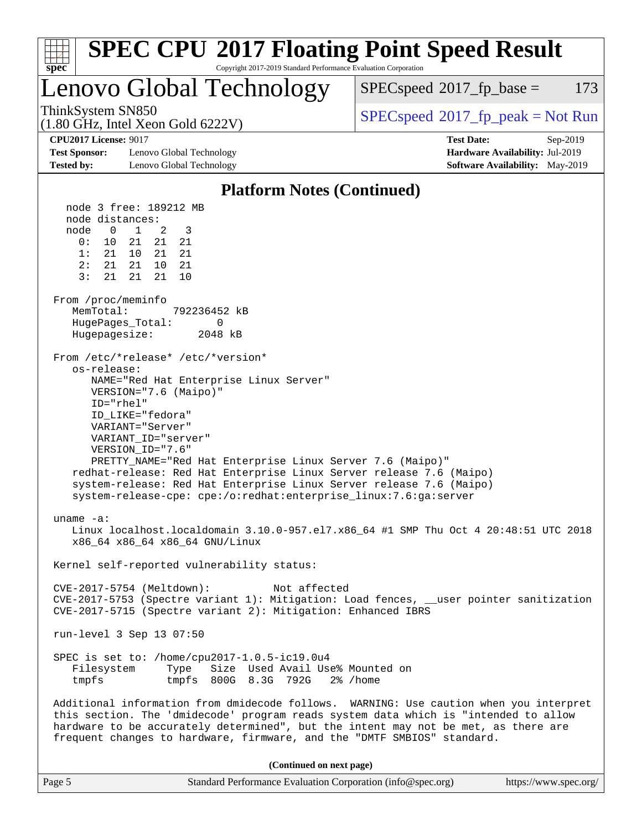| <b>SPEC CPU®2017 Floating Point Speed Result</b><br>Copyright 2017-2019 Standard Performance Evaluation Corporation<br>spec <sup>®</sup>                              |                                                                                                                                                                                                                                                                                                                                                                                                                                                                                                                                                                                                                                |                                                                                         |  |  |  |
|-----------------------------------------------------------------------------------------------------------------------------------------------------------------------|--------------------------------------------------------------------------------------------------------------------------------------------------------------------------------------------------------------------------------------------------------------------------------------------------------------------------------------------------------------------------------------------------------------------------------------------------------------------------------------------------------------------------------------------------------------------------------------------------------------------------------|-----------------------------------------------------------------------------------------|--|--|--|
|                                                                                                                                                                       | Lenovo Global Technology                                                                                                                                                                                                                                                                                                                                                                                                                                                                                                                                                                                                       | $SPEC speed^{\circ}2017$ _fp_base =<br>173                                              |  |  |  |
| ThinkSystem SN850                                                                                                                                                     | $(1.80 \text{ GHz}, \text{Intel Xeon Gold } 6222 \text{V})$                                                                                                                                                                                                                                                                                                                                                                                                                                                                                                                                                                    | $SPEC speed^{\circ}2017\_fp\_peak = Not Run$                                            |  |  |  |
| <b>CPU2017 License: 9017</b><br><b>Test Sponsor:</b>                                                                                                                  | Lenovo Global Technology                                                                                                                                                                                                                                                                                                                                                                                                                                                                                                                                                                                                       | <b>Test Date:</b><br>Sep-2019<br>Hardware Availability: Jul-2019                        |  |  |  |
| <b>Tested by:</b>                                                                                                                                                     | Lenovo Global Technology                                                                                                                                                                                                                                                                                                                                                                                                                                                                                                                                                                                                       | <b>Software Availability:</b> May-2019                                                  |  |  |  |
|                                                                                                                                                                       | <b>Platform Notes (Continued)</b>                                                                                                                                                                                                                                                                                                                                                                                                                                                                                                                                                                                              |                                                                                         |  |  |  |
| node distances:<br>node<br>0<br>0 :<br>10<br>1:<br>2:<br>3:<br>21<br>From /proc/meminfo<br>MemTotal:<br>HugePages_Total:<br>Hugepagesize:<br>os-release:<br>ID="rhel" | node 3 free: 189212 MB<br>1<br>2<br>3<br>21<br>21<br>21<br>21 10<br>21<br>21<br>21 21<br>10<br>21<br>21<br>21<br>10<br>792236452 kB<br>0<br>2048 kB<br>From /etc/*release* /etc/*version*<br>NAME="Red Hat Enterprise Linux Server"<br>VERSION="7.6 (Maipo)"<br>ID LIKE="fedora"<br>VARIANT="Server"<br>VARIANT ID="server"<br>VERSION_ID="7.6"<br>PRETTY_NAME="Red Hat Enterprise Linux Server 7.6 (Maipo)"<br>redhat-release: Red Hat Enterprise Linux Server release 7.6 (Maipo)<br>system-release: Red Hat Enterprise Linux Server release 7.6 (Maipo)<br>system-release-cpe: cpe:/o:redhat:enterprise_linux:7.6:ga:server |                                                                                         |  |  |  |
| uname $-a$ :                                                                                                                                                          | x86_64 x86_64 x86_64 GNU/Linux                                                                                                                                                                                                                                                                                                                                                                                                                                                                                                                                                                                                 | Linux localhost.localdomain 3.10.0-957.el7.x86_64 #1 SMP Thu Oct 4 20:48:51 UTC 2018    |  |  |  |
|                                                                                                                                                                       | Kernel self-reported vulnerability status:                                                                                                                                                                                                                                                                                                                                                                                                                                                                                                                                                                                     |                                                                                         |  |  |  |
|                                                                                                                                                                       | $CVE-2017-5754$ (Meltdown):<br>Not affected<br>CVE-2017-5715 (Spectre variant 2): Mitigation: Enhanced IBRS                                                                                                                                                                                                                                                                                                                                                                                                                                                                                                                    | CVE-2017-5753 (Spectre variant 1): Mitigation: Load fences, __user pointer sanitization |  |  |  |
|                                                                                                                                                                       | run-level 3 Sep 13 07:50                                                                                                                                                                                                                                                                                                                                                                                                                                                                                                                                                                                                       |                                                                                         |  |  |  |
| Filesystem<br>tmpfs                                                                                                                                                   | SPEC is set to: /home/cpu2017-1.0.5-ic19.0u4<br>Type<br>Size Used Avail Use% Mounted on<br>tmpfs 800G 8.3G 792G 2% / home                                                                                                                                                                                                                                                                                                                                                                                                                                                                                                      |                                                                                         |  |  |  |
|                                                                                                                                                                       | this section. The 'dmidecode' program reads system data which is "intended to allow<br>hardware to be accurately determined", but the intent may not be met, as there are<br>frequent changes to hardware, firmware, and the "DMTF SMBIOS" standard.                                                                                                                                                                                                                                                                                                                                                                           | Additional information from dmidecode follows. WARNING: Use caution when you interpret  |  |  |  |
|                                                                                                                                                                       | (Continued on next page)                                                                                                                                                                                                                                                                                                                                                                                                                                                                                                                                                                                                       |                                                                                         |  |  |  |

| Page 5<br>Standard Performance Evaluation Corporation (info@spec.org) | https://www.spec.org/ |
|-----------------------------------------------------------------------|-----------------------|
|-----------------------------------------------------------------------|-----------------------|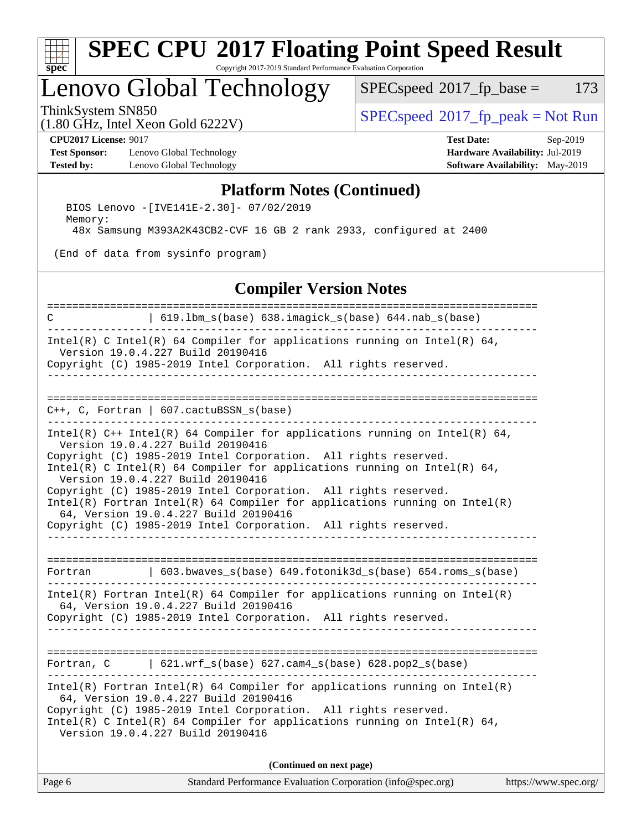

## Lenovo Global Technology

 $SPECspeed^{\circ}2017_fp\_base = 173$  $SPECspeed^{\circ}2017_fp\_base = 173$ 

(1.80 GHz, Intel Xeon Gold 6222V)

ThinkSystem SN850<br>(1.80 GHz, Intel Year Gold 6222V) [SPECspeed](http://www.spec.org/auto/cpu2017/Docs/result-fields.html#SPECspeed2017fppeak)®[2017\\_fp\\_peak = N](http://www.spec.org/auto/cpu2017/Docs/result-fields.html#SPECspeed2017fppeak)ot Run

**[Test Sponsor:](http://www.spec.org/auto/cpu2017/Docs/result-fields.html#TestSponsor)** Lenovo Global Technology **[Hardware Availability:](http://www.spec.org/auto/cpu2017/Docs/result-fields.html#HardwareAvailability)** Jul-2019 **[Tested by:](http://www.spec.org/auto/cpu2017/Docs/result-fields.html#Testedby)** Lenovo Global Technology **[Software Availability:](http://www.spec.org/auto/cpu2017/Docs/result-fields.html#SoftwareAvailability)** May-2019

**[CPU2017 License:](http://www.spec.org/auto/cpu2017/Docs/result-fields.html#CPU2017License)** 9017 **[Test Date:](http://www.spec.org/auto/cpu2017/Docs/result-fields.html#TestDate)** Sep-2019

#### **[Platform Notes \(Continued\)](http://www.spec.org/auto/cpu2017/Docs/result-fields.html#PlatformNotes)**

 BIOS Lenovo -[IVE141E-2.30]- 07/02/2019 Memory: 48x Samsung M393A2K43CB2-CVF 16 GB 2 rank 2933, configured at 2400

(End of data from sysinfo program)

#### **[Compiler Version Notes](http://www.spec.org/auto/cpu2017/Docs/result-fields.html#CompilerVersionNotes)**

| C                      | 619.1bm_s(base) 638.imagick_s(base) 644.nab_s(base)                                                                                                                                                                                                                                                                                                                                                                                                                                                                                                                  |                       |
|------------------------|----------------------------------------------------------------------------------------------------------------------------------------------------------------------------------------------------------------------------------------------------------------------------------------------------------------------------------------------------------------------------------------------------------------------------------------------------------------------------------------------------------------------------------------------------------------------|-----------------------|
|                        | Intel(R) C Intel(R) 64 Compiler for applications running on Intel(R) 64,<br>Version 19.0.4.227 Build 20190416<br>Copyright (C) 1985-2019 Intel Corporation. All rights reserved.<br>-------------------------------                                                                                                                                                                                                                                                                                                                                                  |                       |
| ---------------------- | $C++$ , C, Fortran   607.cactuBSSN_s(base)                                                                                                                                                                                                                                                                                                                                                                                                                                                                                                                           |                       |
|                        | Intel(R) $C++$ Intel(R) 64 Compiler for applications running on Intel(R) 64,<br>Version 19.0.4.227 Build 20190416<br>Copyright (C) 1985-2019 Intel Corporation. All rights reserved.<br>Intel(R) C Intel(R) 64 Compiler for applications running on Intel(R) 64,<br>Version 19.0.4.227 Build 20190416<br>Copyright (C) 1985-2019 Intel Corporation. All rights reserved.<br>$Intel(R)$ Fortran Intel(R) 64 Compiler for applications running on Intel(R)<br>64, Version 19.0.4.227 Build 20190416<br>Copyright (C) 1985-2019 Intel Corporation. All rights reserved. |                       |
| Fortran                | 603.bwaves_s(base) 649.fotonik3d_s(base) 654.roms_s(base)                                                                                                                                                                                                                                                                                                                                                                                                                                                                                                            |                       |
|                        | $Intel(R)$ Fortran Intel(R) 64 Compiler for applications running on Intel(R)<br>64, Version 19.0.4.227 Build 20190416<br>Copyright (C) 1985-2019 Intel Corporation. All rights reserved.                                                                                                                                                                                                                                                                                                                                                                             |                       |
|                        | Fortran, $C = \begin{bmatrix} 621.wrf\_s(base) & 627.cam4_s(base) & 628.pop2_s(base) \end{bmatrix}$                                                                                                                                                                                                                                                                                                                                                                                                                                                                  |                       |
|                        | $Intel(R)$ Fortran Intel(R) 64 Compiler for applications running on Intel(R)<br>64, Version 19.0.4.227 Build 20190416<br>Copyright (C) 1985-2019 Intel Corporation. All rights reserved.<br>Intel(R) C Intel(R) 64 Compiler for applications running on Intel(R) 64,<br>Version 19.0.4.227 Build 20190416                                                                                                                                                                                                                                                            |                       |
|                        | (Continued on next page)                                                                                                                                                                                                                                                                                                                                                                                                                                                                                                                                             |                       |
| Page 6                 | Standard Performance Evaluation Corporation (info@spec.org)                                                                                                                                                                                                                                                                                                                                                                                                                                                                                                          | https://www.spec.org/ |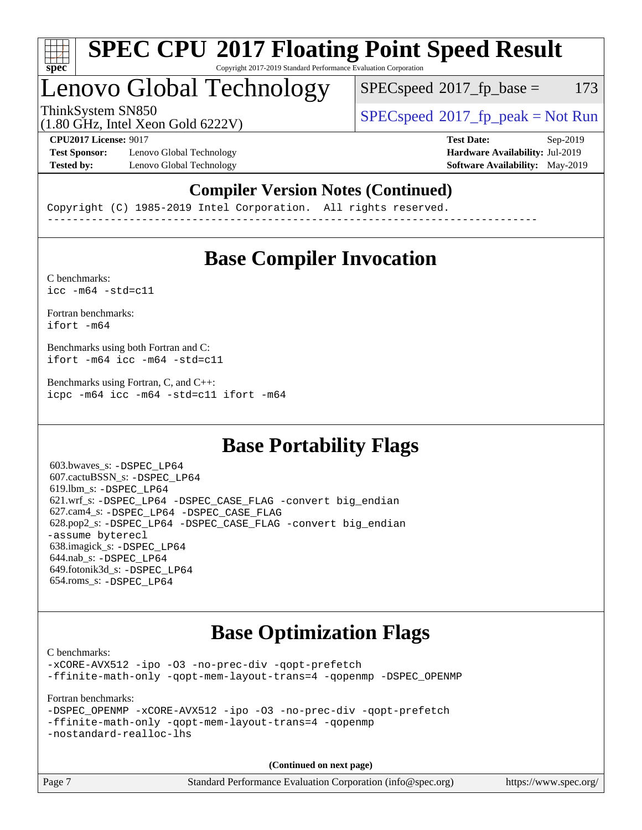

## Lenovo Global Technology

 $SPEC speed^{\circ}2017\_fp\_base = 173$ 

(1.80 GHz, Intel Xeon Gold 6222V)

ThinkSystem SN850<br>  $SPECspeed*2017_fp\_peak = Not Run$  $SPECspeed*2017_fp\_peak = Not Run$ 

**[Test Sponsor:](http://www.spec.org/auto/cpu2017/Docs/result-fields.html#TestSponsor)** Lenovo Global Technology **[Hardware Availability:](http://www.spec.org/auto/cpu2017/Docs/result-fields.html#HardwareAvailability)** Jul-2019 **[Tested by:](http://www.spec.org/auto/cpu2017/Docs/result-fields.html#Testedby)** Lenovo Global Technology **[Software Availability:](http://www.spec.org/auto/cpu2017/Docs/result-fields.html#SoftwareAvailability)** May-2019

**[CPU2017 License:](http://www.spec.org/auto/cpu2017/Docs/result-fields.html#CPU2017License)** 9017 **[Test Date:](http://www.spec.org/auto/cpu2017/Docs/result-fields.html#TestDate)** Sep-2019

### **[Compiler Version Notes \(Continued\)](http://www.spec.org/auto/cpu2017/Docs/result-fields.html#CompilerVersionNotes)**

Copyright (C) 1985-2019 Intel Corporation. All rights reserved. ------------------------------------------------------------------------------

## **[Base Compiler Invocation](http://www.spec.org/auto/cpu2017/Docs/result-fields.html#BaseCompilerInvocation)**

[C benchmarks](http://www.spec.org/auto/cpu2017/Docs/result-fields.html#Cbenchmarks):  $\text{icc}$  -m64 -std=c11

[Fortran benchmarks](http://www.spec.org/auto/cpu2017/Docs/result-fields.html#Fortranbenchmarks): [ifort -m64](http://www.spec.org/cpu2017/results/res2019q4/cpu2017-20190917-18308.flags.html#user_FCbase_intel_ifort_64bit_24f2bb282fbaeffd6157abe4f878425411749daecae9a33200eee2bee2fe76f3b89351d69a8130dd5949958ce389cf37ff59a95e7a40d588e8d3a57e0c3fd751)

[Benchmarks using both Fortran and C](http://www.spec.org/auto/cpu2017/Docs/result-fields.html#BenchmarksusingbothFortranandC): [ifort -m64](http://www.spec.org/cpu2017/results/res2019q4/cpu2017-20190917-18308.flags.html#user_CC_FCbase_intel_ifort_64bit_24f2bb282fbaeffd6157abe4f878425411749daecae9a33200eee2bee2fe76f3b89351d69a8130dd5949958ce389cf37ff59a95e7a40d588e8d3a57e0c3fd751) [icc -m64 -std=c11](http://www.spec.org/cpu2017/results/res2019q4/cpu2017-20190917-18308.flags.html#user_CC_FCbase_intel_icc_64bit_c11_33ee0cdaae7deeeab2a9725423ba97205ce30f63b9926c2519791662299b76a0318f32ddfffdc46587804de3178b4f9328c46fa7c2b0cd779d7a61945c91cd35)

[Benchmarks using Fortran, C, and C++:](http://www.spec.org/auto/cpu2017/Docs/result-fields.html#BenchmarksusingFortranCandCXX) [icpc -m64](http://www.spec.org/cpu2017/results/res2019q4/cpu2017-20190917-18308.flags.html#user_CC_CXX_FCbase_intel_icpc_64bit_4ecb2543ae3f1412ef961e0650ca070fec7b7afdcd6ed48761b84423119d1bf6bdf5cad15b44d48e7256388bc77273b966e5eb805aefd121eb22e9299b2ec9d9) [icc -m64 -std=c11](http://www.spec.org/cpu2017/results/res2019q4/cpu2017-20190917-18308.flags.html#user_CC_CXX_FCbase_intel_icc_64bit_c11_33ee0cdaae7deeeab2a9725423ba97205ce30f63b9926c2519791662299b76a0318f32ddfffdc46587804de3178b4f9328c46fa7c2b0cd779d7a61945c91cd35) [ifort -m64](http://www.spec.org/cpu2017/results/res2019q4/cpu2017-20190917-18308.flags.html#user_CC_CXX_FCbase_intel_ifort_64bit_24f2bb282fbaeffd6157abe4f878425411749daecae9a33200eee2bee2fe76f3b89351d69a8130dd5949958ce389cf37ff59a95e7a40d588e8d3a57e0c3fd751)

## **[Base Portability Flags](http://www.spec.org/auto/cpu2017/Docs/result-fields.html#BasePortabilityFlags)**

 603.bwaves\_s: [-DSPEC\\_LP64](http://www.spec.org/cpu2017/results/res2019q4/cpu2017-20190917-18308.flags.html#suite_basePORTABILITY603_bwaves_s_DSPEC_LP64) 607.cactuBSSN\_s: [-DSPEC\\_LP64](http://www.spec.org/cpu2017/results/res2019q4/cpu2017-20190917-18308.flags.html#suite_basePORTABILITY607_cactuBSSN_s_DSPEC_LP64) 619.lbm\_s: [-DSPEC\\_LP64](http://www.spec.org/cpu2017/results/res2019q4/cpu2017-20190917-18308.flags.html#suite_basePORTABILITY619_lbm_s_DSPEC_LP64) 621.wrf\_s: [-DSPEC\\_LP64](http://www.spec.org/cpu2017/results/res2019q4/cpu2017-20190917-18308.flags.html#suite_basePORTABILITY621_wrf_s_DSPEC_LP64) [-DSPEC\\_CASE\\_FLAG](http://www.spec.org/cpu2017/results/res2019q4/cpu2017-20190917-18308.flags.html#b621.wrf_s_baseCPORTABILITY_DSPEC_CASE_FLAG) [-convert big\\_endian](http://www.spec.org/cpu2017/results/res2019q4/cpu2017-20190917-18308.flags.html#user_baseFPORTABILITY621_wrf_s_convert_big_endian_c3194028bc08c63ac5d04de18c48ce6d347e4e562e8892b8bdbdc0214820426deb8554edfa529a3fb25a586e65a3d812c835984020483e7e73212c4d31a38223) 627.cam4\_s: [-DSPEC\\_LP64](http://www.spec.org/cpu2017/results/res2019q4/cpu2017-20190917-18308.flags.html#suite_basePORTABILITY627_cam4_s_DSPEC_LP64) [-DSPEC\\_CASE\\_FLAG](http://www.spec.org/cpu2017/results/res2019q4/cpu2017-20190917-18308.flags.html#b627.cam4_s_baseCPORTABILITY_DSPEC_CASE_FLAG) 628.pop2\_s: [-DSPEC\\_LP64](http://www.spec.org/cpu2017/results/res2019q4/cpu2017-20190917-18308.flags.html#suite_basePORTABILITY628_pop2_s_DSPEC_LP64) [-DSPEC\\_CASE\\_FLAG](http://www.spec.org/cpu2017/results/res2019q4/cpu2017-20190917-18308.flags.html#b628.pop2_s_baseCPORTABILITY_DSPEC_CASE_FLAG) [-convert big\\_endian](http://www.spec.org/cpu2017/results/res2019q4/cpu2017-20190917-18308.flags.html#user_baseFPORTABILITY628_pop2_s_convert_big_endian_c3194028bc08c63ac5d04de18c48ce6d347e4e562e8892b8bdbdc0214820426deb8554edfa529a3fb25a586e65a3d812c835984020483e7e73212c4d31a38223) [-assume byterecl](http://www.spec.org/cpu2017/results/res2019q4/cpu2017-20190917-18308.flags.html#user_baseFPORTABILITY628_pop2_s_assume_byterecl_7e47d18b9513cf18525430bbf0f2177aa9bf368bc7a059c09b2c06a34b53bd3447c950d3f8d6c70e3faf3a05c8557d66a5798b567902e8849adc142926523472) 638.imagick\_s: [-DSPEC\\_LP64](http://www.spec.org/cpu2017/results/res2019q4/cpu2017-20190917-18308.flags.html#suite_basePORTABILITY638_imagick_s_DSPEC_LP64) 644.nab\_s: [-DSPEC\\_LP64](http://www.spec.org/cpu2017/results/res2019q4/cpu2017-20190917-18308.flags.html#suite_basePORTABILITY644_nab_s_DSPEC_LP64) 649.fotonik3d\_s: [-DSPEC\\_LP64](http://www.spec.org/cpu2017/results/res2019q4/cpu2017-20190917-18308.flags.html#suite_basePORTABILITY649_fotonik3d_s_DSPEC_LP64) 654.roms\_s: [-DSPEC\\_LP64](http://www.spec.org/cpu2017/results/res2019q4/cpu2017-20190917-18308.flags.html#suite_basePORTABILITY654_roms_s_DSPEC_LP64)

## **[Base Optimization Flags](http://www.spec.org/auto/cpu2017/Docs/result-fields.html#BaseOptimizationFlags)**

[C benchmarks](http://www.spec.org/auto/cpu2017/Docs/result-fields.html#Cbenchmarks):

[-xCORE-AVX512](http://www.spec.org/cpu2017/results/res2019q4/cpu2017-20190917-18308.flags.html#user_CCbase_f-xCORE-AVX512) [-ipo](http://www.spec.org/cpu2017/results/res2019q4/cpu2017-20190917-18308.flags.html#user_CCbase_f-ipo) [-O3](http://www.spec.org/cpu2017/results/res2019q4/cpu2017-20190917-18308.flags.html#user_CCbase_f-O3) [-no-prec-div](http://www.spec.org/cpu2017/results/res2019q4/cpu2017-20190917-18308.flags.html#user_CCbase_f-no-prec-div) [-qopt-prefetch](http://www.spec.org/cpu2017/results/res2019q4/cpu2017-20190917-18308.flags.html#user_CCbase_f-qopt-prefetch) [-ffinite-math-only](http://www.spec.org/cpu2017/results/res2019q4/cpu2017-20190917-18308.flags.html#user_CCbase_f_finite_math_only_cb91587bd2077682c4b38af759c288ed7c732db004271a9512da14a4f8007909a5f1427ecbf1a0fb78ff2a814402c6114ac565ca162485bbcae155b5e4258871) [-qopt-mem-layout-trans=4](http://www.spec.org/cpu2017/results/res2019q4/cpu2017-20190917-18308.flags.html#user_CCbase_f-qopt-mem-layout-trans_fa39e755916c150a61361b7846f310bcdf6f04e385ef281cadf3647acec3f0ae266d1a1d22d972a7087a248fd4e6ca390a3634700869573d231a252c784941a8) [-qopenmp](http://www.spec.org/cpu2017/results/res2019q4/cpu2017-20190917-18308.flags.html#user_CCbase_qopenmp_16be0c44f24f464004c6784a7acb94aca937f053568ce72f94b139a11c7c168634a55f6653758ddd83bcf7b8463e8028bb0b48b77bcddc6b78d5d95bb1df2967) [-DSPEC\\_OPENMP](http://www.spec.org/cpu2017/results/res2019q4/cpu2017-20190917-18308.flags.html#suite_CCbase_DSPEC_OPENMP)

[Fortran benchmarks](http://www.spec.org/auto/cpu2017/Docs/result-fields.html#Fortranbenchmarks):

```
-DSPEC_OPENMP -xCORE-AVX512 -ipo -O3 -no-prec-div -qopt-prefetch
-ffinite-math-only -qopt-mem-layout-trans=4 -qopenmp
-nostandard-realloc-lhs
```
**(Continued on next page)**

| Page 7 | Standard Performance Evaluation Corporation (info@spec.org) | https://www.spec.org/ |
|--------|-------------------------------------------------------------|-----------------------|